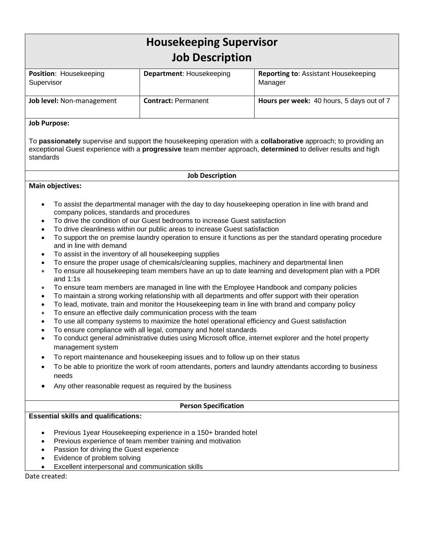| <b>Housekeeping Supervisor</b><br><b>Job Description</b>                                                                                                                                                                                                   |                                 |                                                        |
|------------------------------------------------------------------------------------------------------------------------------------------------------------------------------------------------------------------------------------------------------------|---------------------------------|--------------------------------------------------------|
| <b>Position: Housekeeping</b><br>Supervisor                                                                                                                                                                                                                | <b>Department:</b> Housekeeping | <b>Reporting to:</b> Assistant Housekeeping<br>Manager |
| <b>Job level:</b> Non-management                                                                                                                                                                                                                           | <b>Contract: Permanent</b>      | Hours per week: 40 hours, 5 days out of 7              |
| <b>Job Purpose:</b>                                                                                                                                                                                                                                        |                                 |                                                        |
| To <b>passionately</b> supervise and support the housekeeping operation with a <b>collaborative</b> approach; to providing an<br>exceptional Guest experience with a progressive team member approach, determined to deliver results and high<br>standards |                                 |                                                        |
| <b>Job Description</b>                                                                                                                                                                                                                                     |                                 |                                                        |
| <b>Main objectives:</b>                                                                                                                                                                                                                                    |                                 |                                                        |

- To assist the departmental manager with the day to day housekeeping operation in line with brand and company polices, standards and procedures
- To drive the condition of our Guest bedrooms to increase Guest satisfaction
- To drive cleanliness within our public areas to increase Guest satisfaction
- To support the on premise laundry operation to ensure it functions as per the standard operating procedure and in line with demand
- To assist in the inventory of all housekeeping supplies
- To ensure the proper usage of chemicals/cleaning supplies, machinery and departmental linen
- To ensure all housekeeping team members have an up to date learning and development plan with a PDR and 1:1s
- To ensure team members are managed in line with the Employee Handbook and company policies
- To maintain a strong working relationship with all departments and offer support with their operation
- To lead, motivate, train and monitor the Housekeeping team in line with brand and company policy
- To ensure an effective daily communication process with the team
- To use all company systems to maximize the hotel operational efficiency and Guest satisfaction
- To ensure compliance with all legal, company and hotel standards
- To conduct general administrative duties using Microsoft office, internet explorer and the hotel property management system
- To report maintenance and housekeeping issues and to follow up on their status
- To be able to prioritize the work of room attendants, porters and laundry attendants according to business needs
- Any other reasonable request as required by the business

### **Person Specification**

# **Essential skills and qualifications:**

- Previous 1year Housekeeping experience in a 150+ branded hotel
- Previous experience of team member training and motivation
- Passion for driving the Guest experience
- Evidence of problem solving
- Excellent interpersonal and communication skills

Date created: